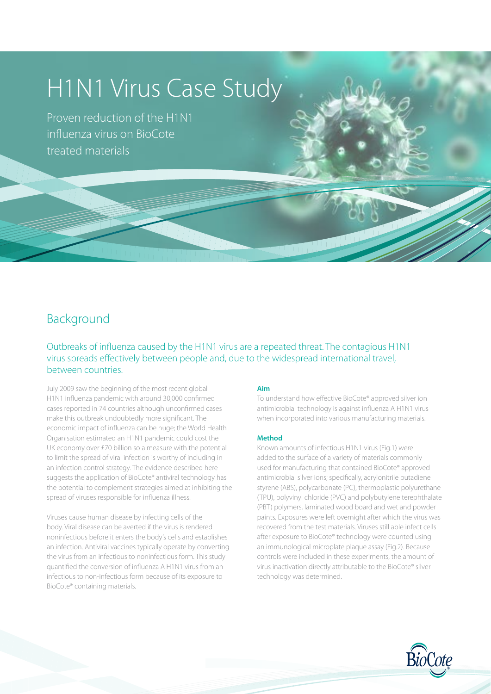# H1N1 Virus Case Study

Proven reduction of the H1N1 influenza virus on BioCote treated materials

# Background

Outbreaks of influenza caused by the H1N1 virus are a repeated threat. The contagious H1N1 virus spreads effectively between people and, due to the widespread international travel, between countries.

July 2009 saw the beginning of the most recent global H1N1 influenza pandemic with around 30,000 confirmed cases reported in 74 countries although unconfirmed cases make this outbreak undoubtedly more significant. The economic impact of influenza can be huge; the World Health Organisation estimated an H1N1 pandemic could cost the UK economy over £70 billion so a measure with the potential to limit the spread of viral infection is worthy of including in an infection control strategy. The evidence described here suggests the application of BioCote® antiviral technology has the potential to complement strategies aimed at inhibiting the spread of viruses responsible for influenza illness.

Viruses cause human disease by infecting cells of the body. Viral disease can be averted if the virus is rendered noninfectious before it enters the body's cells and establishes an infection. Antiviral vaccines typically operate by converting the virus from an infectious to noninfectious form. This study quantified the conversion of influenza A H1N1 virus from an infectious to non-infectious form because of its exposure to BioCote® containing materials.

#### **Aim**

To understand how effective BioCote® approved silver ion antimicrobial technology is against influenza A H1N1 virus when incorporated into various manufacturing materials.

الإي

#### **Method**

Known amounts of infectious H1N1 virus (Fig.1) were added to the surface of a variety of materials commonly used for manufacturing that contained BioCote® approved antimicrobial silver ions; specifically, acrylonitrile butadiene styrene (ABS), polycarbonate (PC), thermoplastic polyurethane (TPU), polyvinyl chloride (PVC) and polybutylene terephthalate (PBT) polymers, laminated wood board and wet and powder paints. Exposures were left overnight after which the virus was recovered from the test materials. Viruses still able infect cells after exposure to BioCote® technology were counted using an immunological microplate plaque assay (Fig.2). Because controls were included in these experiments, the amount of virus inactivation directly attributable to the BioCote® silver technology was determined.